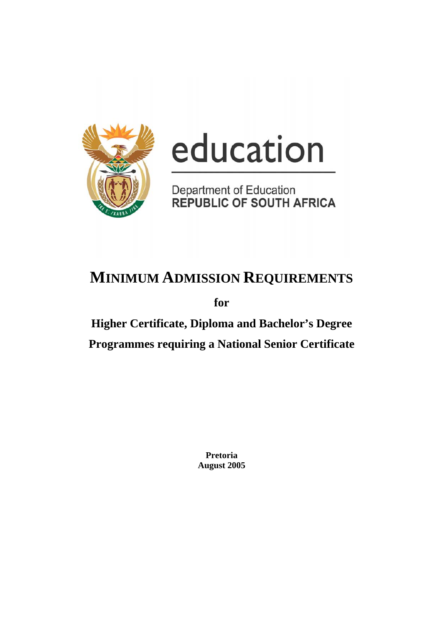

# education

Department of Education<br>REPUBLIC OF SOUTH AFRICA

# **MINIMUM ADMISSION REQUIREMENTS**

**for** 

**Higher Certificate, Diploma and Bachelor's Degree Programmes requiring a National Senior Certificate**

> **Pretoria August 2005**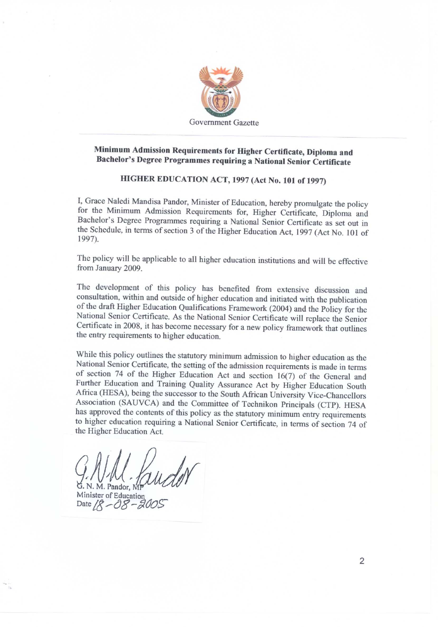

### Minimum Admission Requirements for Higher Certificate, Diploma and Bachelor's Degree Programmes requiring a National Senior Certificate

### HIGHER EDUCATION ACT, 1997 (Act No. 101 of 1997)

I, Grace Naledi Mandisa Pandor, Minister of Education, hereby promulgate the policy for the Minimum Admission Requirements for, Higher Certificate, Diploma and Bachelor's Degree Programmes requiring a National Senior Certificate as set out in the Schedule, in terms of section 3 of the Higher Education Act, 1997 (Act No. 101 of 1997).

The policy will be applicable to all higher education institutions and will be effective from January 2009.

The development of this policy has benefited from extensive discussion and consultation, within and outside of higher education and initiated with the publication of the draft Higher Education Qualifications Framework (2004) and the Policy for the National Senior Certificate. As the National Senior Certificate will replace the Senior Certificate in 2008, it has become necessary for a new policy framework that outlines the entry requirements to higher education.

While this policy outlines the statutory minimum admission to higher education as the National Senior Certificate, the setting of the admission requirements is made in terms of section 74 of the Higher Education Act and section 16(7) of the General and Further Education and Training Quality Assurance Act by Higher Education South Africa (HESA), being the successor to the South African University Vice-Chancellors Association (SAUVCA) and the Committee of Technikon Principals (CTP). HESA has approved the contents of this policy as the statutory minimum entry requirements to higher education requiring a National Senior Certificate, in terms of section 74 of the Higher Education Act.

G. N. M. Pandor, MI Minister of Education Date  $/8 - 0.8$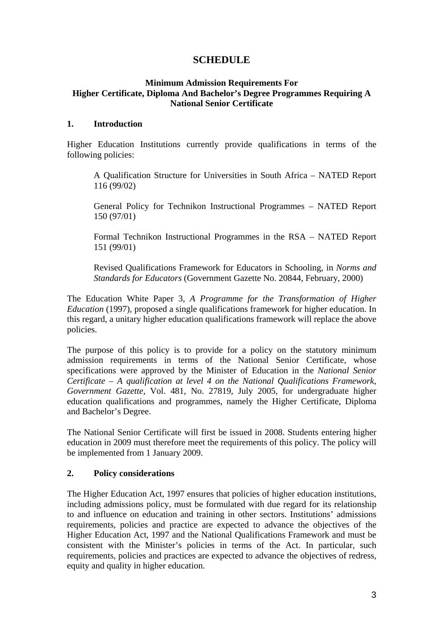### **SCHEDULE**

### **Minimum Admission Requirements For Higher Certificate, Diploma And Bachelor's Degree Programmes Requiring A National Senior Certificate**

### **1. Introduction**

Higher Education Institutions currently provide qualifications in terms of the following policies:

A Qualification Structure for Universities in South Africa – NATED Report 116 (99/02)

General Policy for Technikon Instructional Programmes – NATED Report 150 (97/01)

Formal Technikon Instructional Programmes in the RSA – NATED Report 151 (99/01)

Revised Qualifications Framework for Educators in Schooling, in *Norms and Standards for Educators* (Government Gazette No. 20844, February, 2000)

The Education White Paper 3*, A Programme for the Transformation of Higher Education* (1997)*,* proposed a single qualifications framework for higher education. In this regard, a unitary higher education qualifications framework will replace the above policies.

The purpose of this policy is to provide for a policy on the statutory minimum admission requirements in terms of the National Senior Certificate, whose specifications were approved by the Minister of Education in the *National Senior Certificate – A qualification at level 4 on the National Qualifications Framework*, *Government Gazette*, Vol. 481, No. 27819, July 2005, for undergraduate higher education qualifications and programmes, namely the Higher Certificate, Diploma and Bachelor's Degree.

The National Senior Certificate will first be issued in 2008. Students entering higher education in 2009 must therefore meet the requirements of this policy. The policy will be implemented from 1 January 2009.

### **2. Policy considerations**

The Higher Education Act, 1997 ensures that policies of higher education institutions, including admissions policy, must be formulated with due regard for its relationship to and influence on education and training in other sectors. Institutions' admissions requirements, policies and practice are expected to advance the objectives of the Higher Education Act, 1997 and the National Qualifications Framework and must be consistent with the Minister's policies in terms of the Act. In particular, such requirements, policies and practices are expected to advance the objectives of redress, equity and quality in higher education.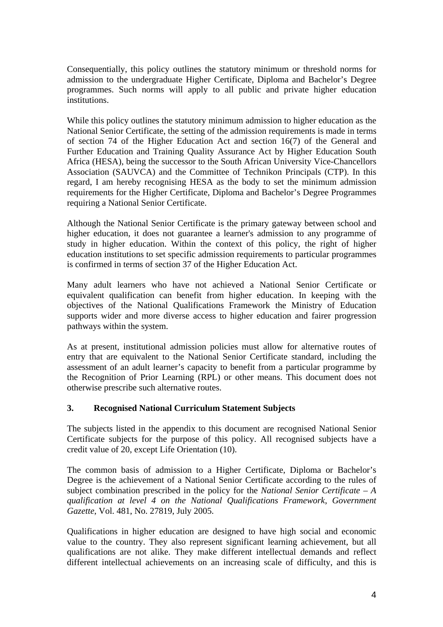Consequentially, this policy outlines the statutory minimum or threshold norms for admission to the undergraduate Higher Certificate, Diploma and Bachelor's Degree programmes. Such norms will apply to all public and private higher education institutions.

While this policy outlines the statutory minimum admission to higher education as the National Senior Certificate, the setting of the admission requirements is made in terms of section 74 of the Higher Education Act and section 16(7) of the General and Further Education and Training Quality Assurance Act by Higher Education South Africa (HESA), being the successor to the South African University Vice-Chancellors Association (SAUVCA) and the Committee of Technikon Principals (CTP). In this regard, I am hereby recognising HESA as the body to set the minimum admission requirements for the Higher Certificate, Diploma and Bachelor's Degree Programmes requiring a National Senior Certificate.

Although the National Senior Certificate is the primary gateway between school and higher education, it does not guarantee a learner's admission to any programme of study in higher education. Within the context of this policy, the right of higher education institutions to set specific admission requirements to particular programmes is confirmed in terms of section 37 of the Higher Education Act.

Many adult learners who have not achieved a National Senior Certificate or equivalent qualification can benefit from higher education. In keeping with the objectives of the National Qualifications Framework the Ministry of Education supports wider and more diverse access to higher education and fairer progression pathways within the system.

As at present, institutional admission policies must allow for alternative routes of entry that are equivalent to the National Senior Certificate standard, including the assessment of an adult learner's capacity to benefit from a particular programme by the Recognition of Prior Learning (RPL) or other means. This document does not otherwise prescribe such alternative routes.

### **3. Recognised National Curriculum Statement Subjects**

The subjects listed in the appendix to this document are recognised National Senior Certificate subjects for the purpose of this policy. All recognised subjects have a credit value of 20, except Life Orientation (10).

The common basis of admission to a Higher Certificate, Diploma or Bachelor's Degree is the achievement of a National Senior Certificate according to the rules of subject combination prescribed in the policy for the *National Senior Certificate – A qualification at level 4 on the National Qualifications Framework*, *Government Gazette*, Vol. 481, No. 27819, July 2005.

Qualifications in higher education are designed to have high social and economic value to the country. They also represent significant learning achievement, but all qualifications are not alike. They make different intellectual demands and reflect different intellectual achievements on an increasing scale of difficulty, and this is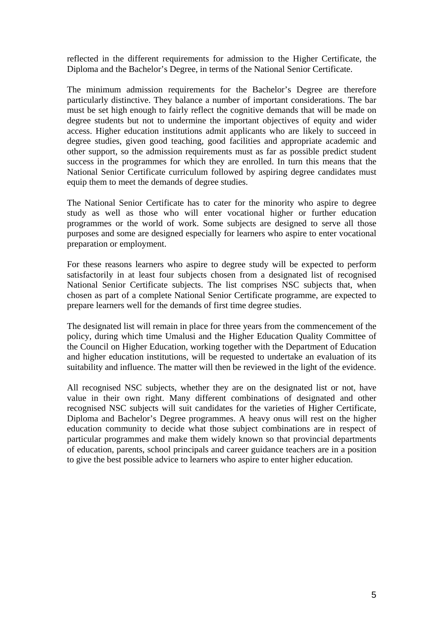reflected in the different requirements for admission to the Higher Certificate, the Diploma and the Bachelor's Degree, in terms of the National Senior Certificate.

The minimum admission requirements for the Bachelor's Degree are therefore particularly distinctive. They balance a number of important considerations. The bar must be set high enough to fairly reflect the cognitive demands that will be made on degree students but not to undermine the important objectives of equity and wider access. Higher education institutions admit applicants who are likely to succeed in degree studies, given good teaching, good facilities and appropriate academic and other support, so the admission requirements must as far as possible predict student success in the programmes for which they are enrolled. In turn this means that the National Senior Certificate curriculum followed by aspiring degree candidates must equip them to meet the demands of degree studies.

The National Senior Certificate has to cater for the minority who aspire to degree study as well as those who will enter vocational higher or further education programmes or the world of work. Some subjects are designed to serve all those purposes and some are designed especially for learners who aspire to enter vocational preparation or employment.

For these reasons learners who aspire to degree study will be expected to perform satisfactorily in at least four subjects chosen from a designated list of recognised National Senior Certificate subjects. The list comprises NSC subjects that, when chosen as part of a complete National Senior Certificate programme, are expected to prepare learners well for the demands of first time degree studies.

The designated list will remain in place for three years from the commencement of the policy, during which time Umalusi and the Higher Education Quality Committee of the Council on Higher Education, working together with the Department of Education and higher education institutions, will be requested to undertake an evaluation of its suitability and influence. The matter will then be reviewed in the light of the evidence.

All recognised NSC subjects, whether they are on the designated list or not, have value in their own right. Many different combinations of designated and other recognised NSC subjects will suit candidates for the varieties of Higher Certificate, Diploma and Bachelor's Degree programmes. A heavy onus will rest on the higher education community to decide what those subject combinations are in respect of particular programmes and make them widely known so that provincial departments of education, parents, school principals and career guidance teachers are in a position to give the best possible advice to learners who aspire to enter higher education.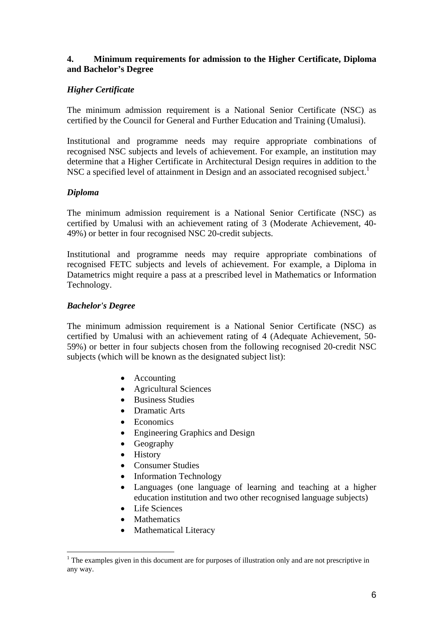### **4. Minimum requirements for admission to the Higher Certificate, Diploma and Bachelor's Degree**

### *Higher Certificate*

The minimum admission requirement is a National Senior Certificate (NSC) as certified by the Council for General and Further Education and Training (Umalusi).

Institutional and programme needs may require appropriate combinations of recognised NSC subjects and levels of achievement. For example, an institution may determine that a Higher Certificate in Architectural Design requires in addition to the NSC a specified level of attainment in Design and an associated recognised subject.<sup>1</sup>

### *Diploma*

The minimum admission requirement is a National Senior Certificate (NSC) as certified by Umalusi with an achievement rating of 3 (Moderate Achievement, 40- 49%) or better in four recognised NSC 20-credit subjects.

Institutional and programme needs may require appropriate combinations of recognised FETC subjects and levels of achievement. For example, a Diploma in Datametrics might require a pass at a prescribed level in Mathematics or Information Technology.

### *Bachelor's Degree*

 $\overline{a}$ 

The minimum admission requirement is a National Senior Certificate (NSC) as certified by Umalusi with an achievement rating of 4 (Adequate Achievement, 50- 59%) or better in four subjects chosen from the following recognised 20-credit NSC subjects (which will be known as the designated subject list):

- Accounting
- Agricultural Sciences
- Business Studies
- Dramatic Arts
- **Economics**
- Engineering Graphics and Design
- Geography
- History
- Consumer Studies
- Information Technology
- Languages (one language of learning and teaching at a higher education institution and two other recognised language subjects)
- Life Sciences
- **Mathematics**
- Mathematical Literacy

 $1$ <sup>1</sup> The examples given in this document are for purposes of illustration only and are not prescriptive in any way.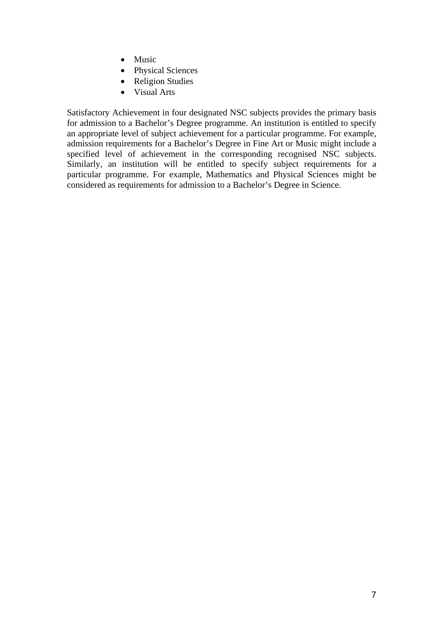- Music
- Physical Sciences
- Religion Studies
- Visual Arts

Satisfactory Achievement in four designated NSC subjects provides the primary basis for admission to a Bachelor's Degree programme. An institution is entitled to specify an appropriate level of subject achievement for a particular programme. For example, admission requirements for a Bachelor's Degree in Fine Art or Music might include a specified level of achievement in the corresponding recognised NSC subjects. Similarly, an institution will be entitled to specify subject requirements for a particular programme. For example, Mathematics and Physical Sciences might be considered as requirements for admission to a Bachelor's Degree in Science.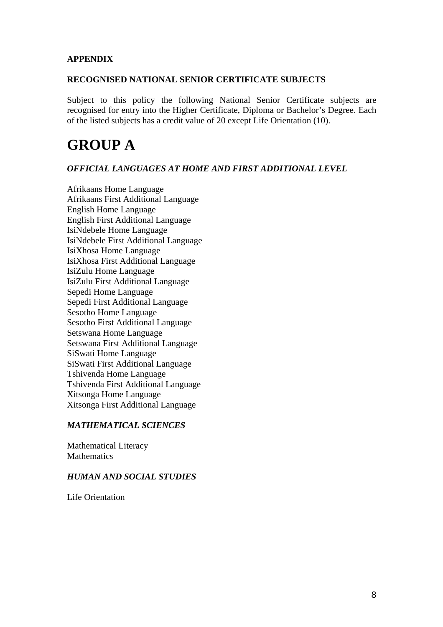### **APPENDIX**

#### **RECOGNISED NATIONAL SENIOR CERTIFICATE SUBJECTS**

Subject to this policy the following National Senior Certificate subjects are recognised for entry into the Higher Certificate, Diploma or Bachelor's Degree. Each of the listed subjects has a credit value of 20 except Life Orientation (10).

### **GROUP A**

### *OFFICIAL LANGUAGES AT HOME AND FIRST ADDITIONAL LEVEL*

Afrikaans Home Language Afrikaans First Additional Language English Home Language English First Additional Language IsiNdebele Home Language IsiNdebele First Additional Language IsiXhosa Home Language IsiXhosa First Additional Language IsiZulu Home Language IsiZulu First Additional Language Sepedi Home Language Sepedi First Additional Language Sesotho Home Language Sesotho First Additional Language Setswana Home Language Setswana First Additional Language SiSwati Home Language SiSwati First Additional Language Tshivenda Home Language Tshivenda First Additional Language Xitsonga Home Language Xitsonga First Additional Language

### *MATHEMATICAL SCIENCES*

Mathematical Literacy **Mathematics** 

### *HUMAN AND SOCIAL STUDIES*

Life Orientation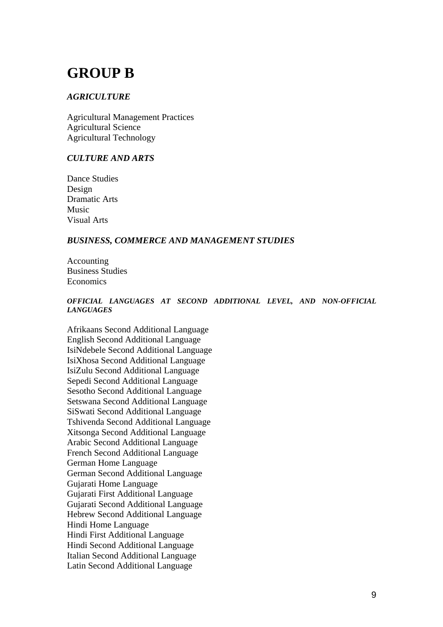## **GROUP B**

### *AGRICULTURE*

Agricultural Management Practices Agricultural Science Agricultural Technology

### *CULTURE AND ARTS*

Dance Studies Design Dramatic Arts Music Visual Arts

### *BUSINESS, COMMERCE AND MANAGEMENT STUDIES*

Accounting Business Studies Economics

#### *OFFICIAL LANGUAGES AT SECOND ADDITIONAL LEVEL, AND NON-OFFICIAL LANGUAGES*

Afrikaans Second Additional Language English Second Additional Language IsiNdebele Second Additional Language IsiXhosa Second Additional Language IsiZulu Second Additional Language Sepedi Second Additional Language Sesotho Second Additional Language Setswana Second Additional Language SiSwati Second Additional Language Tshivenda Second Additional Language Xitsonga Second Additional Language Arabic Second Additional Language French Second Additional Language German Home Language German Second Additional Language Gujarati Home Language Gujarati First Additional Language Gujarati Second Additional Language Hebrew Second Additional Language Hindi Home Language Hindi First Additional Language Hindi Second Additional Language Italian Second Additional Language Latin Second Additional Language